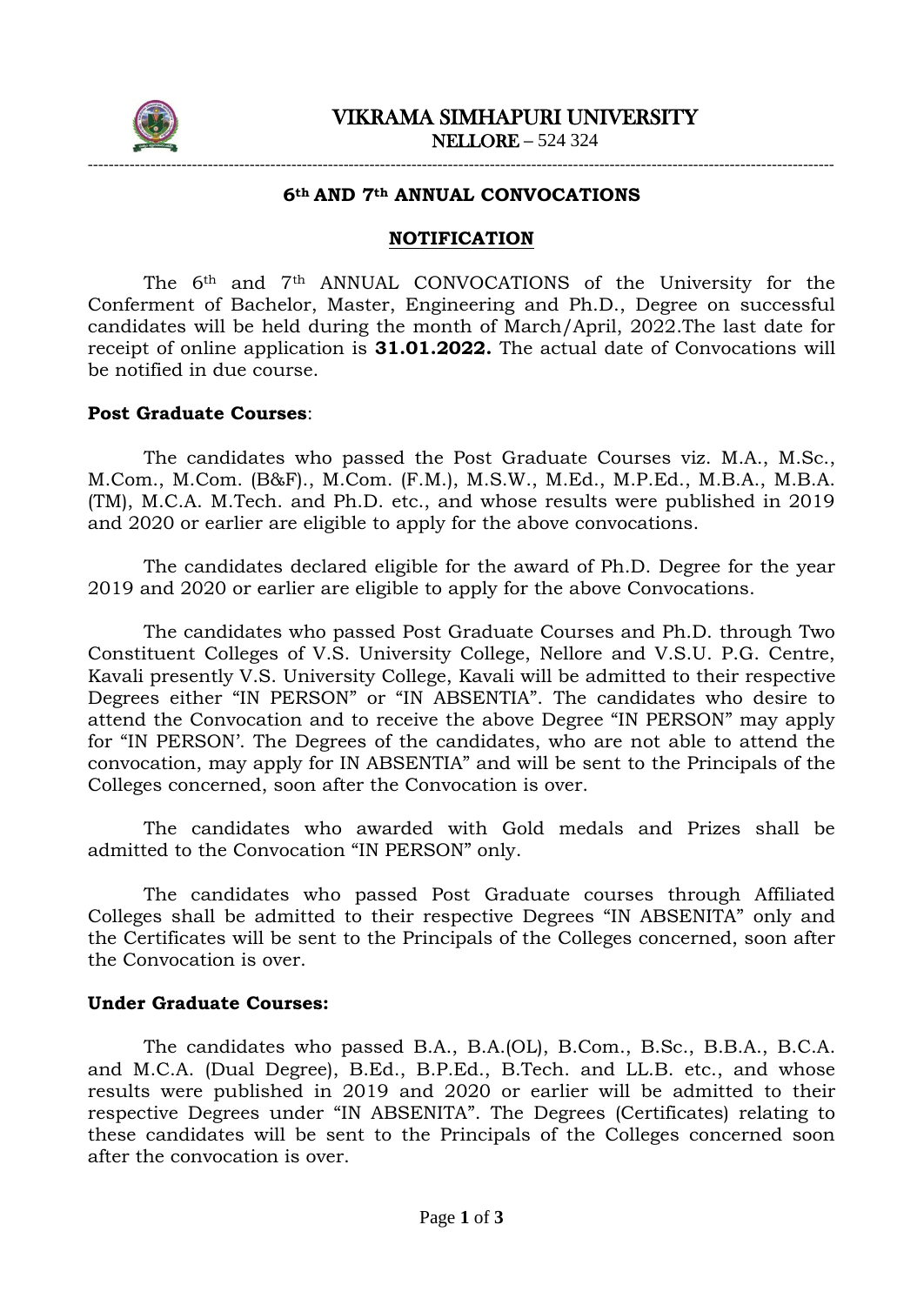

# ----------------------------------------------------------------------------------------------------------------------------------------------- **6th AND 7th ANNUAL CONVOCATIONS**

#### **NOTIFICATION**

The 6th and 7th ANNUAL CONVOCATIONS of the University for the Conferment of Bachelor, Master, Engineering and Ph.D., Degree on successful candidates will be held during the month of March/April, 2022.The last date for receipt of online application is **31.01.2022.** The actual date of Convocations will be notified in due course.

### **Post Graduate Courses**:

The candidates who passed the Post Graduate Courses viz. M.A., M.Sc., M.Com., M.Com. (B&F)., M.Com. (F.M.), M.S.W., M.Ed., M.P.Ed., M.B.A., M.B.A. (TM), M.C.A. M.Tech. and Ph.D. etc., and whose results were published in 2019 and 2020 or earlier are eligible to apply for the above convocations.

The candidates declared eligible for the award of Ph.D. Degree for the year 2019 and 2020 or earlier are eligible to apply for the above Convocations.

The candidates who passed Post Graduate Courses and Ph.D. through Two Constituent Colleges of V.S. University College, Nellore and V.S.U. P.G. Centre, Kavali presently V.S. University College, Kavali will be admitted to their respective Degrees either "IN PERSON" or "IN ABSENTIA". The candidates who desire to attend the Convocation and to receive the above Degree "IN PERSON" may apply for "IN PERSON'. The Degrees of the candidates, who are not able to attend the convocation, may apply for IN ABSENTIA" and will be sent to the Principals of the Colleges concerned, soon after the Convocation is over.

The candidates who awarded with Gold medals and Prizes shall be admitted to the Convocation "IN PERSON" only.

The candidates who passed Post Graduate courses through Affiliated Colleges shall be admitted to their respective Degrees "IN ABSENITA" only and the Certificates will be sent to the Principals of the Colleges concerned, soon after the Convocation is over.

#### **Under Graduate Courses:**

The candidates who passed B.A., B.A.(OL), B.Com., B.Sc., B.B.A., B.C.A. and M.C.A. (Dual Degree), B.Ed., B.P.Ed., B.Tech. and LL.B. etc., and whose results were published in 2019 and 2020 or earlier will be admitted to their respective Degrees under "IN ABSENITA". The Degrees (Certificates) relating to these candidates will be sent to the Principals of the Colleges concerned soon after the convocation is over.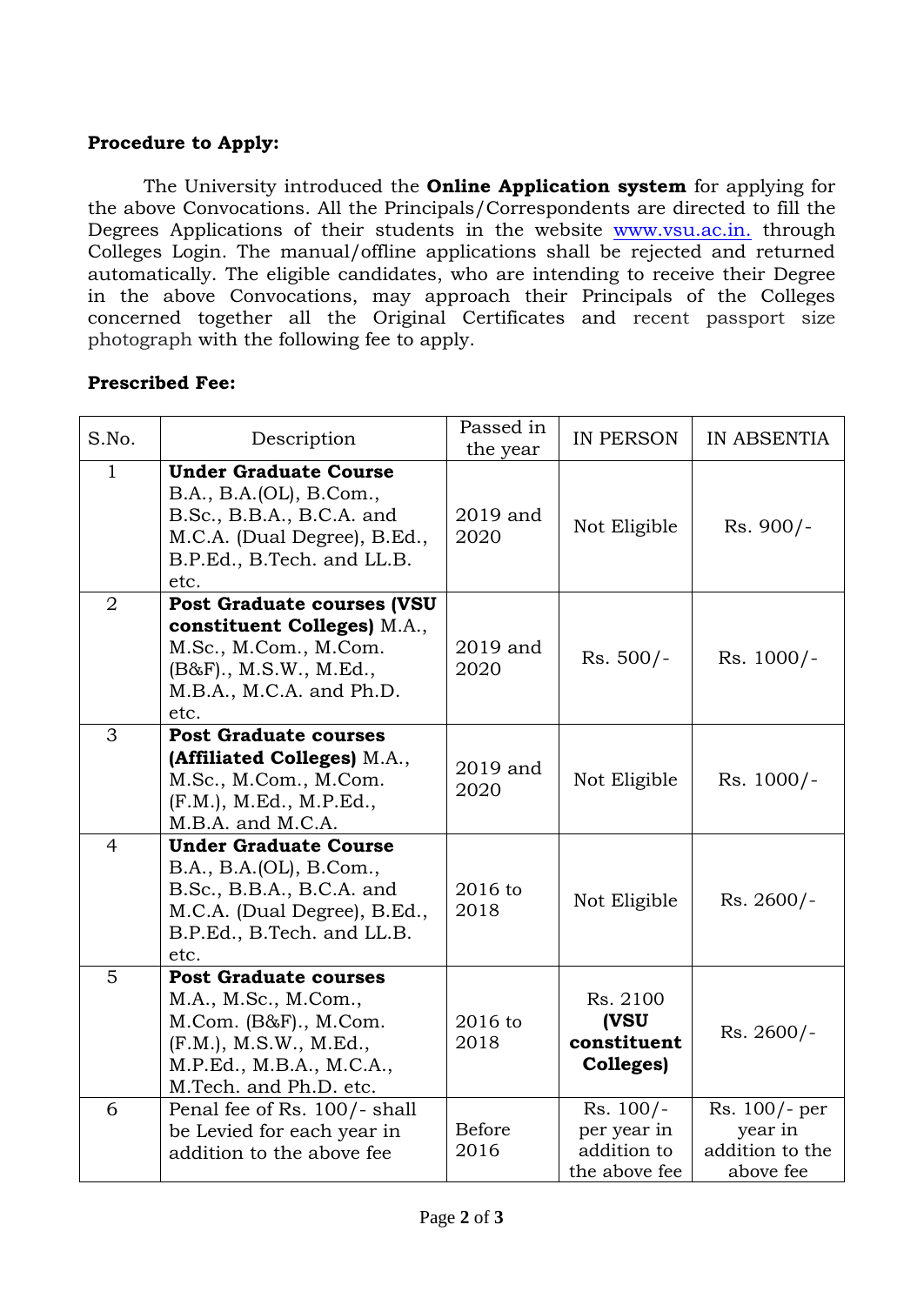## **Procedure to Apply:**

The University introduced the **Online Application system** for applying for the above Convocations. All the Principals/Correspondents are directed to fill the Degrees Applications of their students in the website [www.vsu.ac.in.](http://www.vsu.ac.in./) through Colleges Login. The manual/offline applications shall be rejected and returned automatically. The eligible candidates, who are intending to receive their Degree in the above Convocations, may approach their Principals of the Colleges concerned together all the Original Certificates and recent passport size photograph with the following fee to apply.

## **Prescribed Fee:**

| S.No.          | Description                                                                                                                                                          | Passed in<br>the year | IN PERSON                                                  | IN ABSENTIA                                              |
|----------------|----------------------------------------------------------------------------------------------------------------------------------------------------------------------|-----------------------|------------------------------------------------------------|----------------------------------------------------------|
| $\mathbf{1}$   | <b>Under Graduate Course</b><br>B.A., B.A.(OL), B.Com.,<br>B.Sc., B.B.A., B.C.A. and<br>M.C.A. (Dual Degree), B.Ed.,<br>B.P.Ed., B.Tech. and LL.B.<br>etc.           | 2019 and<br>2020      | Not Eligible                                               | Rs. 900/-                                                |
| $\overline{2}$ | <b>Post Graduate courses (VSU</b><br>constituent Colleges) M.A.,<br>M.Sc., M.Com., M.Com.<br>$(B&F)$ ., M.S.W., M.Ed.,<br>M.B.A., M.C.A. and Ph.D.<br>etc.           | 2019 and<br>2020      | $Rs. 500/-$                                                | $Rs. 1000/-$                                             |
| 3              | <b>Post Graduate courses</b><br>(Affiliated Colleges) M.A.,<br>M.Sc., M.Com., M.Com.<br>(F.M.), M.Ed., M.P.Ed.,<br>M.B.A. and M.C.A.                                 | 2019 and<br>2020      | Not Eligible                                               | $Rs. 1000/-$                                             |
| $\overline{4}$ | <b>Under Graduate Course</b><br>B.A., B.A.(OL), B.Com.,<br>B.Sc., B.B.A., B.C.A. and<br>M.C.A. (Dual Degree), B.Ed.,<br>B.P.Ed., B.Tech. and LL.B.<br>etc.           | 2016 to<br>2018       | Not Eligible                                               | Rs. 2600/-                                               |
| 5              | <b>Post Graduate courses</b><br>M.A., M.Sc., M.Com.,<br>$M. Com. (B&F).$ , $M. Com.$<br>(F.M.), M.S.W., M.Ed.,<br>M.P.Ed., M.B.A., M.C.A.,<br>M.Tech. and Ph.D. etc. | 2016 to<br>2018       | Rs. 2100<br>(VSU<br>constituent<br>Colleges)               | $Rs. 2600/-$                                             |
| 6              | Penal fee of Rs. 100/- shall<br>be Levied for each year in<br>addition to the above fee                                                                              | <b>Before</b><br>2016 | $Rs. 100/-$<br>per year in<br>addition to<br>the above fee | Rs. 100/- per<br>year in<br>addition to the<br>above fee |